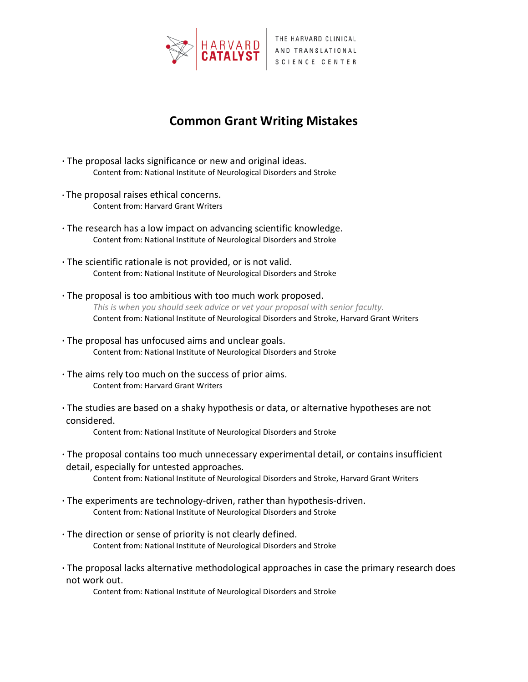

## **Common Grant Writing Mistakes**

- **·** The proposal lacks significance or new and original ideas. Content from: National Institute of Neurological Disorders and Stroke
- **·** The proposal raises ethical concerns. Content from: Harvard Grant Writers
- **·** The research has a low impact on advancing scientific knowledge. Content from: National Institute of Neurological Disorders and Stroke
- **·** The scientific rationale is not provided, or is not valid. Content from: National Institute of Neurological Disorders and Stroke
- **·** The proposal is too ambitious with too much work proposed. *This is when you should seek advice or vet your proposal with senior faculty.* Content from: National Institute of Neurological Disorders and Stroke, Harvard Grant Writers
- **·** The proposal has unfocused aims and unclear goals. Content from: National Institute of Neurological Disorders and Stroke
- **·** The aims rely too much on the success of prior aims. Content from: Harvard Grant Writers
- **·** The studies are based on a shaky hypothesis or data, or alternative hypotheses are not considered.

Content from: National Institute of Neurological Disorders and Stroke

- **·** The proposal contains too much unnecessary experimental detail, or contains insufficient detail, especially for untested approaches. Content from: National Institute of Neurological Disorders and Stroke, Harvard Grant Writers
- **·** The experiments are technology-driven, rather than hypothesis-driven. Content from: National Institute of Neurological Disorders and Stroke
- **·** The direction or sense of priority is not clearly defined. Content from: National Institute of Neurological Disorders and Stroke
- **·** The proposal lacks alternative methodological approaches in case the primary research does not work out.

Content from: National Institute of Neurological Disorders and Stroke